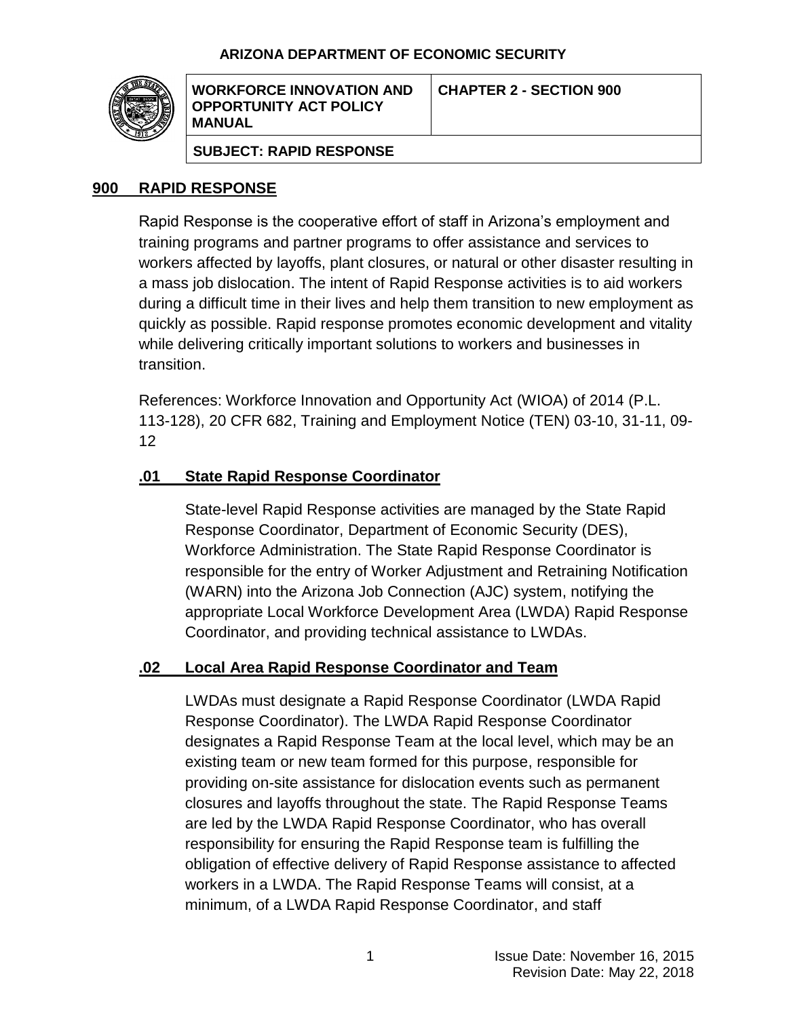### **ARIZONA DEPARTMENT OF ECONOMIC SECURITY**



**WORKFORCE INNOVATION AND OPPORTUNITY ACT POLICY MANUAL**

**SUBJECT: RAPID RESPONSE**

### **900 RAPID RESPONSE**

Rapid Response is the cooperative effort of staff in Arizona's employment and training programs and partner programs to offer assistance and services to workers affected by layoffs, plant closures, or natural or other disaster resulting in a mass job dislocation. The intent of Rapid Response activities is to aid workers during a difficult time in their lives and help them transition to new employment as quickly as possible. Rapid response promotes economic development and vitality while delivering critically important solutions to workers and businesses in transition.

References: Workforce Innovation and Opportunity Act (WIOA) of 2014 (P.L. 113-128), 20 CFR 682, Training and Employment Notice (TEN) 03-10, 31-11, 09- 12

### **.01 State Rapid Response Coordinator**

State-level Rapid Response activities are managed by the State Rapid Response Coordinator, Department of Economic Security (DES), Workforce Administration. The State Rapid Response Coordinator is responsible for the entry of Worker Adjustment and Retraining Notification (WARN) into the Arizona Job Connection (AJC) system, notifying the appropriate Local Workforce Development Area (LWDA) Rapid Response Coordinator, and providing technical assistance to LWDAs.

### **.02 Local Area Rapid Response Coordinator and Team**

LWDAs must designate a Rapid Response Coordinator (LWDA Rapid Response Coordinator). The LWDA Rapid Response Coordinator designates a Rapid Response Team at the local level, which may be an existing team or new team formed for this purpose, responsible for providing on-site assistance for dislocation events such as permanent closures and layoffs throughout the state. The Rapid Response Teams are led by the LWDA Rapid Response Coordinator, who has overall responsibility for ensuring the Rapid Response team is fulfilling the obligation of effective delivery of Rapid Response assistance to affected workers in a LWDA. The Rapid Response Teams will consist, at a minimum, of a LWDA Rapid Response Coordinator, and staff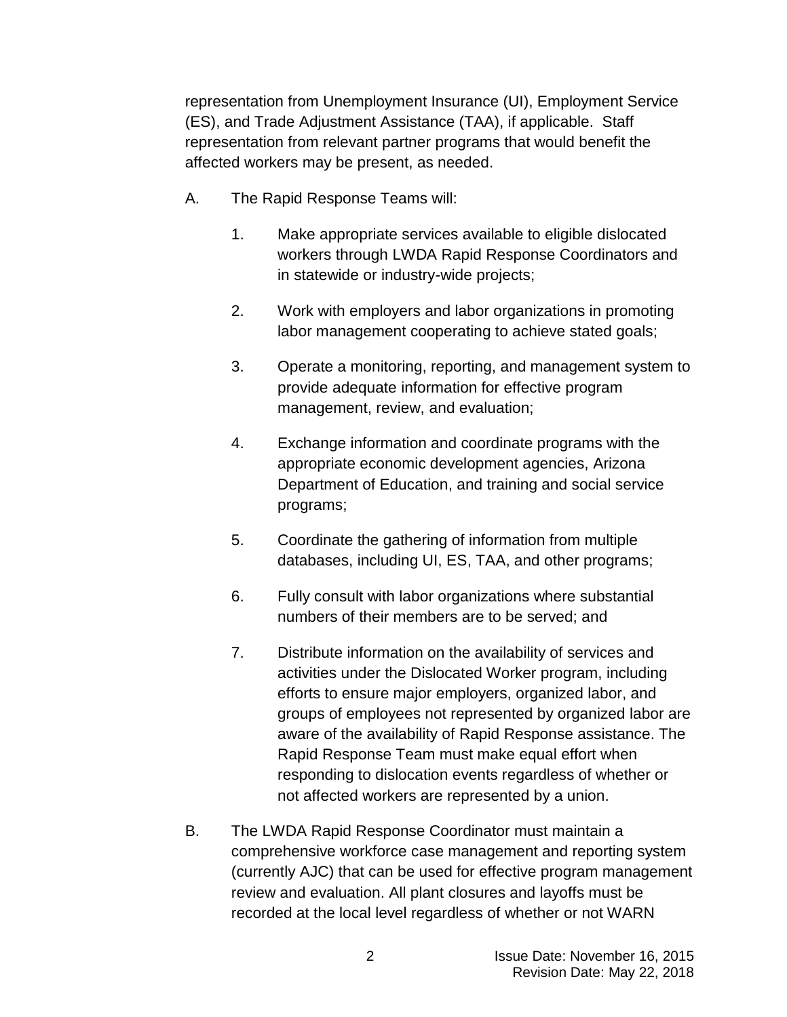representation from Unemployment Insurance (UI), Employment Service (ES), and Trade Adjustment Assistance (TAA), if applicable. Staff representation from relevant partner programs that would benefit the affected workers may be present, as needed.

- A. The Rapid Response Teams will:
	- 1. Make appropriate services available to eligible dislocated workers through LWDA Rapid Response Coordinators and in statewide or industry-wide projects;
	- 2. Work with employers and labor organizations in promoting labor management cooperating to achieve stated goals;
	- 3. Operate a monitoring, reporting, and management system to provide adequate information for effective program management, review, and evaluation;
	- 4. Exchange information and coordinate programs with the appropriate economic development agencies, Arizona Department of Education, and training and social service programs;
	- 5. Coordinate the gathering of information from multiple databases, including UI, ES, TAA, and other programs;
	- 6. Fully consult with labor organizations where substantial numbers of their members are to be served; and
	- 7. Distribute information on the availability of services and activities under the Dislocated Worker program, including efforts to ensure major employers, organized labor, and groups of employees not represented by organized labor are aware of the availability of Rapid Response assistance. The Rapid Response Team must make equal effort when responding to dislocation events regardless of whether or not affected workers are represented by a union.
- B. The LWDA Rapid Response Coordinator must maintain a comprehensive workforce case management and reporting system (currently AJC) that can be used for effective program management review and evaluation. All plant closures and layoffs must be recorded at the local level regardless of whether or not WARN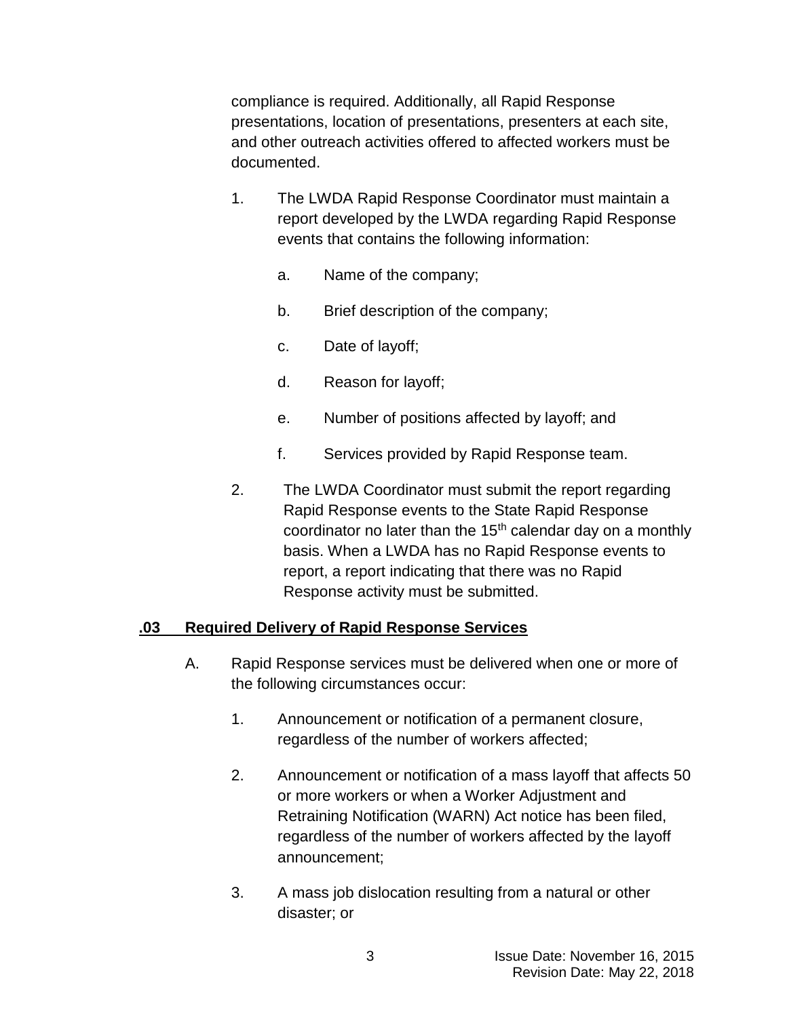compliance is required. Additionally, all Rapid Response presentations, location of presentations, presenters at each site, and other outreach activities offered to affected workers must be documented.

- 1. The LWDA Rapid Response Coordinator must maintain a report developed by the LWDA regarding Rapid Response events that contains the following information:
	- a. Name of the company;
	- b. Brief description of the company;
	- c. Date of layoff;
	- d. Reason for layoff;
	- e. Number of positions affected by layoff; and
	- f. Services provided by Rapid Response team.
- 2. The LWDA Coordinator must submit the report regarding Rapid Response events to the State Rapid Response coordinator no later than the  $15<sup>th</sup>$  calendar day on a monthly basis. When a LWDA has no Rapid Response events to report, a report indicating that there was no Rapid Response activity must be submitted.

### **.03 Required Delivery of Rapid Response Services**

- A. Rapid Response services must be delivered when one or more of the following circumstances occur:
	- 1. Announcement or notification of a permanent closure, regardless of the number of workers affected;
	- 2. Announcement or notification of a mass layoff that affects 50 or more workers or when a Worker Adjustment and Retraining Notification (WARN) Act notice has been filed, regardless of the number of workers affected by the layoff announcement;
	- 3. A mass job dislocation resulting from a natural or other disaster; or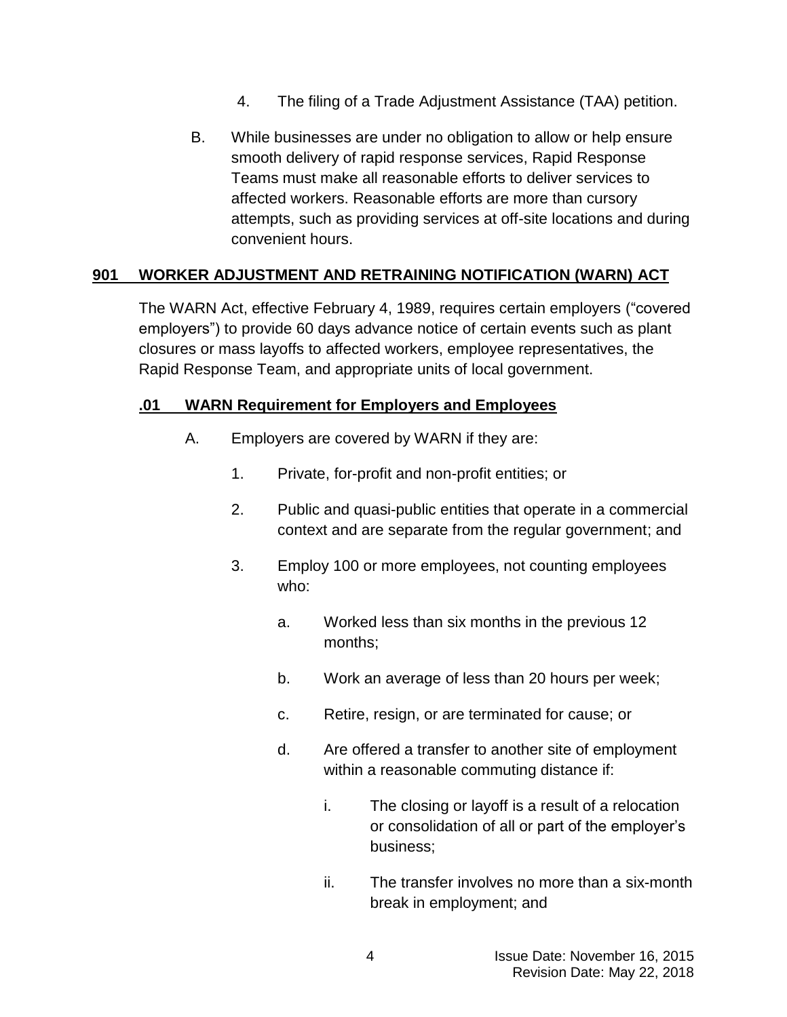- 4. The filing of a Trade Adjustment Assistance (TAA) petition.
- B. While businesses are under no obligation to allow or help ensure smooth delivery of rapid response services, Rapid Response Teams must make all reasonable efforts to deliver services to affected workers. Reasonable efforts are more than cursory attempts, such as providing services at off-site locations and during convenient hours.

# **901 WORKER ADJUSTMENT AND RETRAINING NOTIFICATION (WARN) ACT**

The WARN Act, effective February 4, 1989, requires certain employers ("covered employers") to provide 60 days advance notice of certain events such as plant closures or mass layoffs to affected workers, employee representatives, the Rapid Response Team, and appropriate units of local government.

## **.01 WARN Requirement for Employers and Employees**

- A. Employers are covered by WARN if they are:
	- 1. Private, for-profit and non-profit entities; or
	- 2. Public and quasi-public entities that operate in a commercial context and are separate from the regular government; and
	- 3. Employ 100 or more employees, not counting employees who:
		- a. Worked less than six months in the previous 12 months;
		- b. Work an average of less than 20 hours per week;
		- c. Retire, resign, or are terminated for cause; or
		- d. Are offered a transfer to another site of employment within a reasonable commuting distance if:
			- i. The closing or layoff is a result of a relocation or consolidation of all or part of the employer's business;
			- ii. The transfer involves no more than a six-month break in employment; and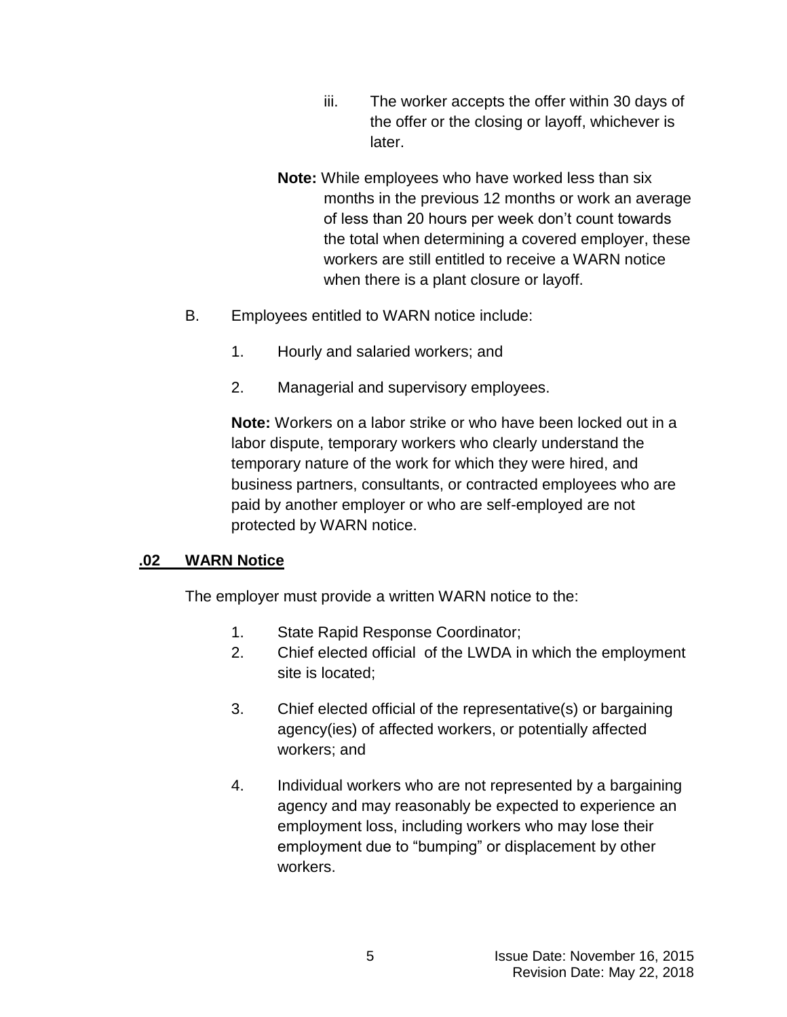- iii. The worker accepts the offer within 30 days of the offer or the closing or layoff, whichever is later.
- **Note:** While employees who have worked less than six months in the previous 12 months or work an average of less than 20 hours per week don't count towards the total when determining a covered employer, these workers are still entitled to receive a WARN notice when there is a plant closure or layoff.
- B. Employees entitled to WARN notice include:
	- 1. Hourly and salaried workers; and
	- 2. Managerial and supervisory employees.

**Note:** Workers on a labor strike or who have been locked out in a labor dispute, temporary workers who clearly understand the temporary nature of the work for which they were hired, and business partners, consultants, or contracted employees who are paid by another employer or who are self-employed are not protected by WARN notice.

### **.02 WARN Notice**

The employer must provide a written WARN notice to the:

- 1. State Rapid Response Coordinator;
- 2. Chief elected official of the LWDA in which the employment site is located;
- 3. Chief elected official of the representative(s) or bargaining agency(ies) of affected workers, or potentially affected workers; and
- 4. Individual workers who are not represented by a bargaining agency and may reasonably be expected to experience an employment loss, including workers who may lose their employment due to "bumping" or displacement by other workers.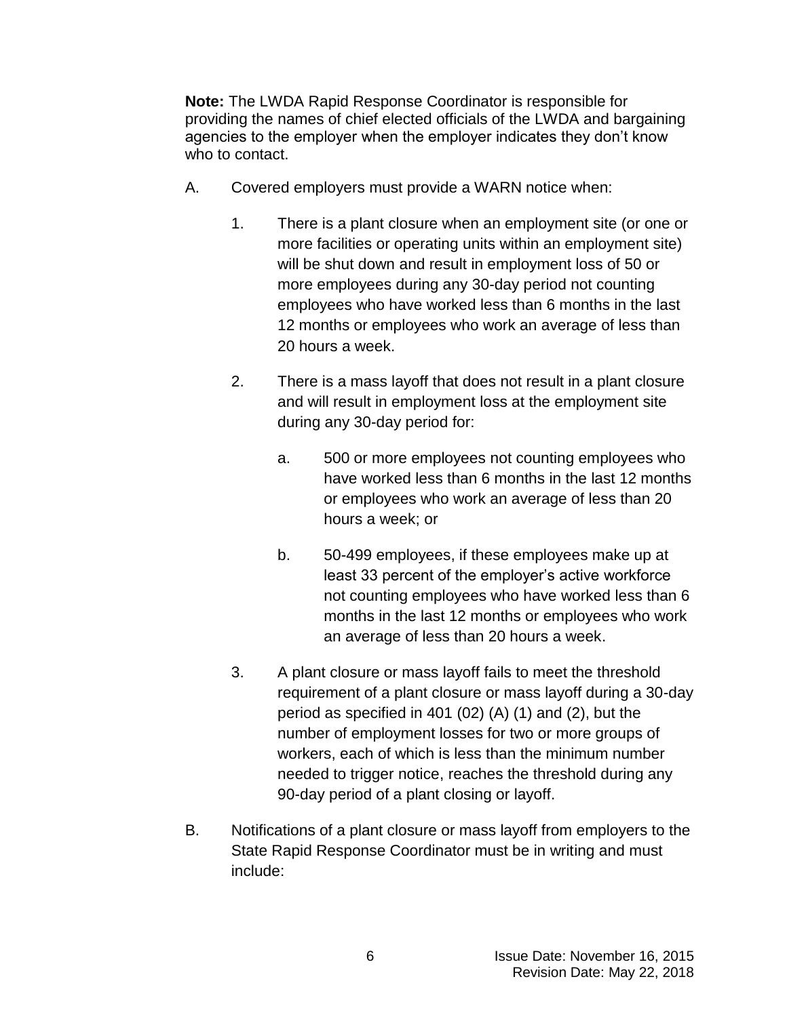**Note:** The LWDA Rapid Response Coordinator is responsible for providing the names of chief elected officials of the LWDA and bargaining agencies to the employer when the employer indicates they don't know who to contact.

- A. Covered employers must provide a WARN notice when:
	- 1. There is a plant closure when an employment site (or one or more facilities or operating units within an employment site) will be shut down and result in employment loss of 50 or more employees during any 30-day period not counting employees who have worked less than 6 months in the last 12 months or employees who work an average of less than 20 hours a week.
	- 2. There is a mass layoff that does not result in a plant closure and will result in employment loss at the employment site during any 30-day period for:
		- a. 500 or more employees not counting employees who have worked less than 6 months in the last 12 months or employees who work an average of less than 20 hours a week; or
		- b. 50-499 employees, if these employees make up at least 33 percent of the employer's active workforce not counting employees who have worked less than 6 months in the last 12 months or employees who work an average of less than 20 hours a week.
	- 3. A plant closure or mass layoff fails to meet the threshold requirement of a plant closure or mass layoff during a 30-day period as specified in 401 (02) (A) (1) and (2), but the number of employment losses for two or more groups of workers, each of which is less than the minimum number needed to trigger notice, reaches the threshold during any 90-day period of a plant closing or layoff.
- B. Notifications of a plant closure or mass layoff from employers to the State Rapid Response Coordinator must be in writing and must include: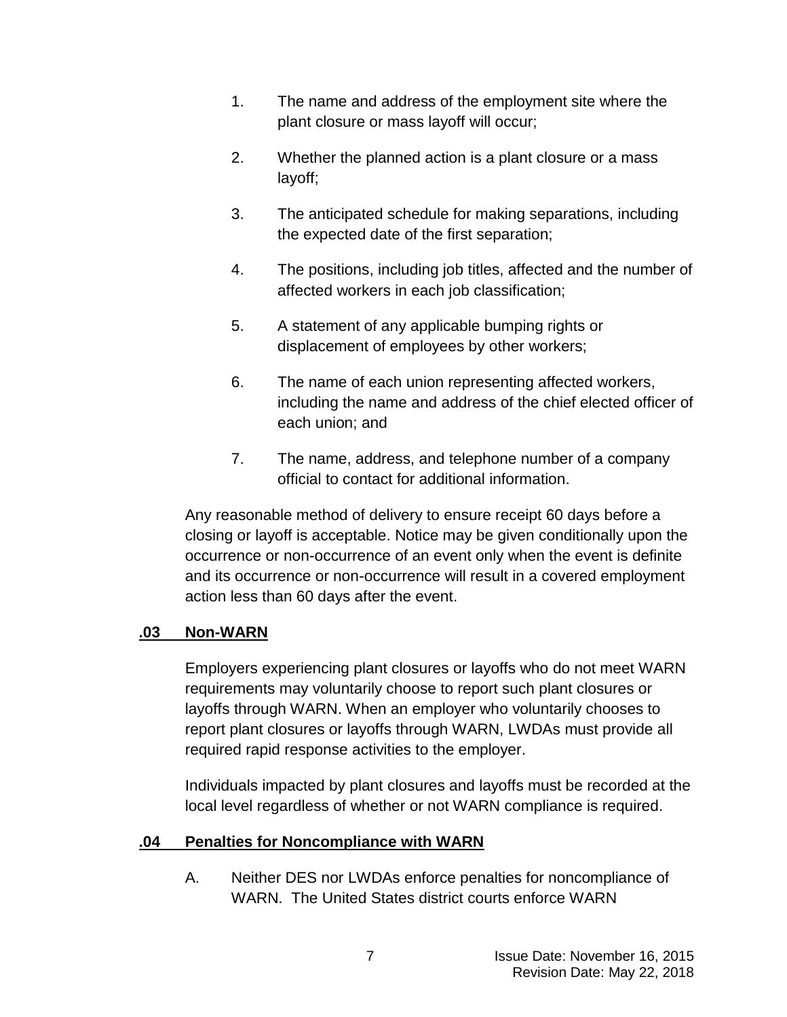- 1. The name and address of the employment site where the plant closure or mass layoff will occur;
- 2. Whether the planned action is a plant closure or a mass layoff;
- 3. The anticipated schedule for making separations, including the expected date of the first separation;
- 4. The positions, including job titles, affected and the number of affected workers in each job classification;
- 5. A statement of any applicable bumping rights or displacement of employees by other workers;
- 6. The name of each union representing affected workers, including the name and address of the chief elected officer of each union; and
- 7. The name, address, and telephone number of a company official to contact for additional information.

Any reasonable method of delivery to ensure receipt 60 days before a closing or layoff is acceptable. Notice may be given conditionally upon the occurrence or non-occurrence of an event only when the event is definite and its occurrence or non-occurrence will result in a covered employment action less than 60 days after the event.

## **.03 Non-WARN**

Employers experiencing plant closures or layoffs who do not meet WARN requirements may voluntarily choose to report such plant closures or layoffs through WARN. When an employer who voluntarily chooses to report plant closures or layoffs through WARN, LWDAs must provide all required rapid response activities to the employer.

Individuals impacted by plant closures and layoffs must be recorded at the local level regardless of whether or not WARN compliance is required.

# **.04 Penalties for Noncompliance with WARN**

A. Neither DES nor LWDAs enforce penalties for noncompliance of WARN. The United States district courts enforce WARN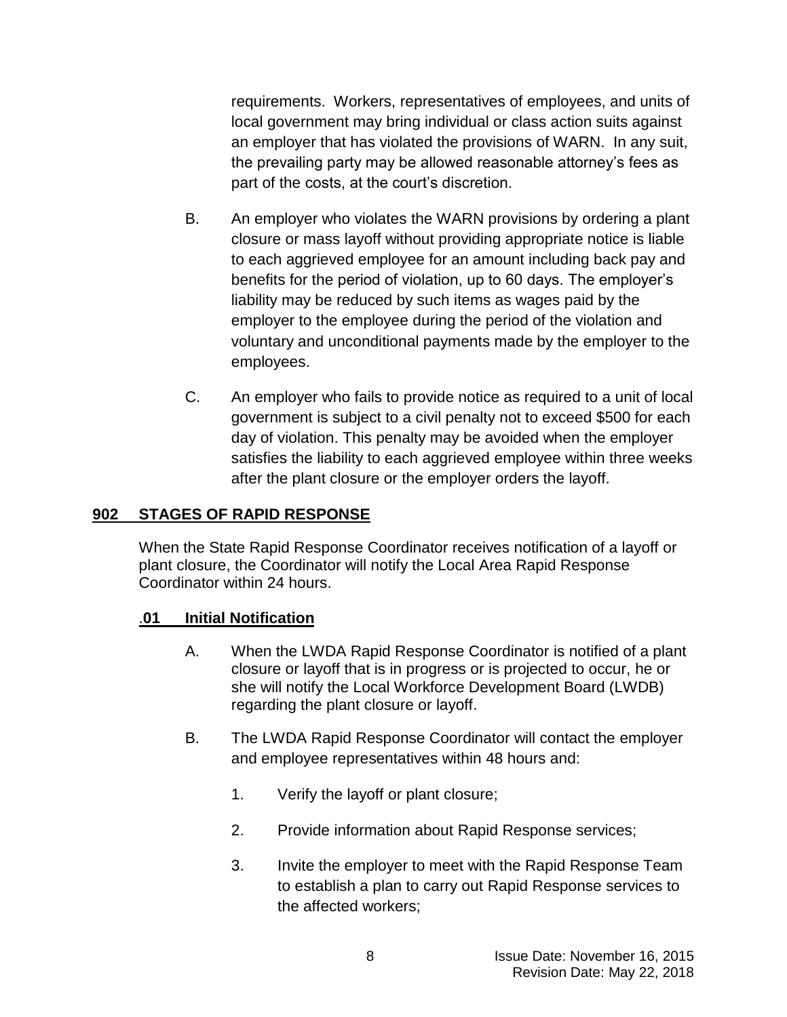requirements. Workers, representatives of employees, and units of local government may bring individual or class action suits against an employer that has violated the provisions of WARN. In any suit, the prevailing party may be allowed reasonable attorney's fees as part of the costs, at the court's discretion.

- B. An employer who violates the WARN provisions by ordering a plant closure or mass layoff without providing appropriate notice is liable to each aggrieved employee for an amount including back pay and benefits for the period of violation, up to 60 days. The employer's liability may be reduced by such items as wages paid by the employer to the employee during the period of the violation and voluntary and unconditional payments made by the employer to the employees.
- C. An employer who fails to provide notice as required to a unit of local government is subject to a civil penalty not to exceed \$500 for each day of violation. This penalty may be avoided when the employer satisfies the liability to each aggrieved employee within three weeks after the plant closure or the employer orders the layoff.

### **902 STAGES OF RAPID RESPONSE**

When the State Rapid Response Coordinator receives notification of a layoff or plant closure, the Coordinator will notify the Local Area Rapid Response Coordinator within 24 hours.

### .**01 Initial Notification**

- A. When the LWDA Rapid Response Coordinator is notified of a plant closure or layoff that is in progress or is projected to occur, he or she will notify the Local Workforce Development Board (LWDB) regarding the plant closure or layoff.
- B. The LWDA Rapid Response Coordinator will contact the employer and employee representatives within 48 hours and:
	- 1. Verify the layoff or plant closure;
	- 2. Provide information about Rapid Response services;
	- 3. Invite the employer to meet with the Rapid Response Team to establish a plan to carry out Rapid Response services to the affected workers;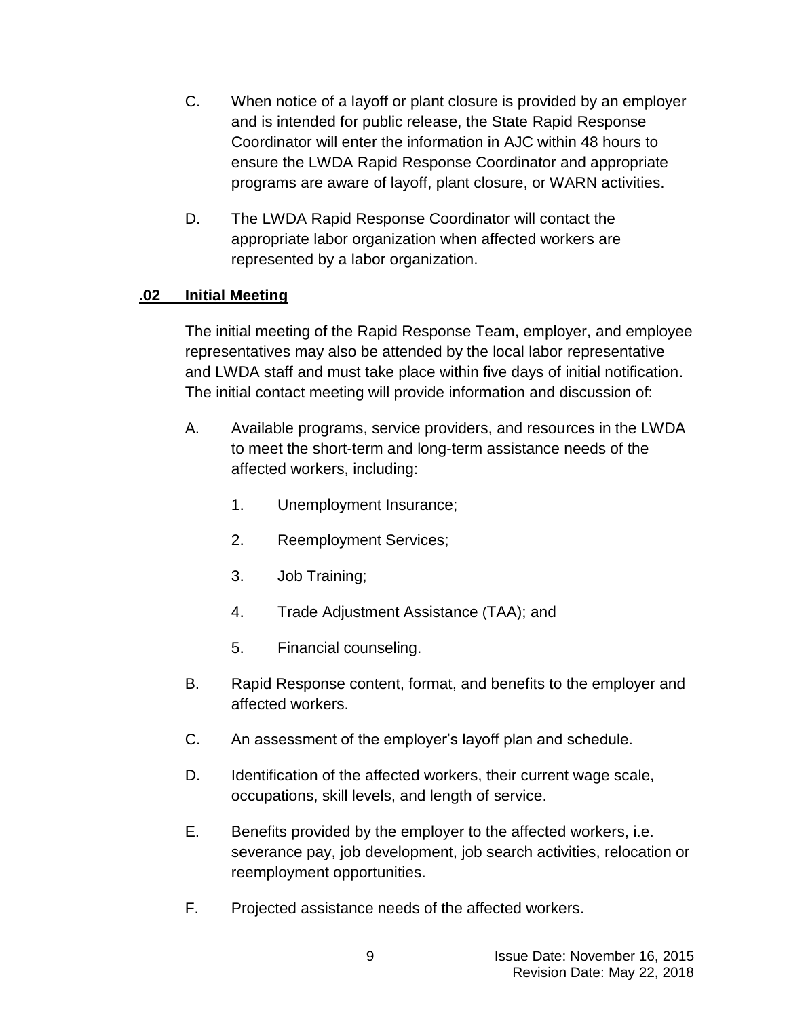- C. When notice of a layoff or plant closure is provided by an employer and is intended for public release, the State Rapid Response Coordinator will enter the information in AJC within 48 hours to ensure the LWDA Rapid Response Coordinator and appropriate programs are aware of layoff, plant closure, or WARN activities.
- D. The LWDA Rapid Response Coordinator will contact the appropriate labor organization when affected workers are represented by a labor organization.

# **.02 Initial Meeting**

The initial meeting of the Rapid Response Team, employer, and employee representatives may also be attended by the local labor representative and LWDA staff and must take place within five days of initial notification. The initial contact meeting will provide information and discussion of:

- A. Available programs, service providers, and resources in the LWDA to meet the short-term and long-term assistance needs of the affected workers, including:
	- 1. Unemployment Insurance;
	- 2. Reemployment Services;
	- 3. Job Training;
	- 4. Trade Adjustment Assistance (TAA); and
	- 5. Financial counseling.
- B. Rapid Response content, format, and benefits to the employer and affected workers.
- C. An assessment of the employer's layoff plan and schedule.
- D. Identification of the affected workers, their current wage scale, occupations, skill levels, and length of service.
- E. Benefits provided by the employer to the affected workers, i.e. severance pay, job development, job search activities, relocation or reemployment opportunities.
- F. Projected assistance needs of the affected workers.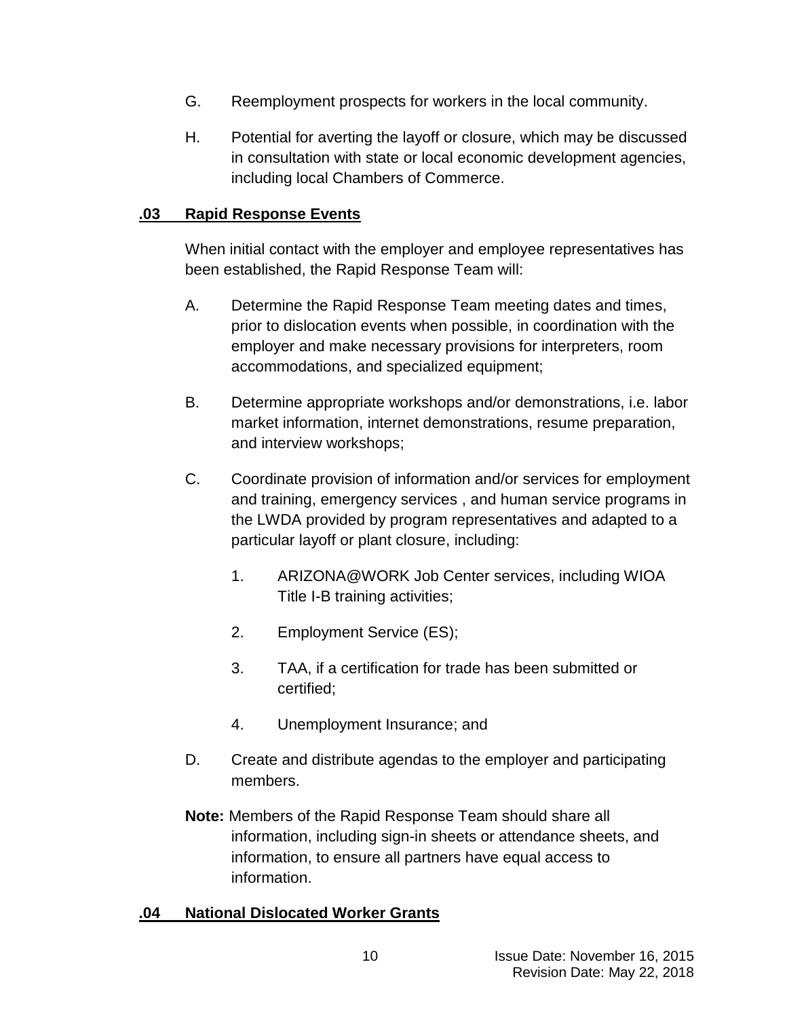- G. Reemployment prospects for workers in the local community.
- H. Potential for averting the layoff or closure, which may be discussed in consultation with state or local economic development agencies, including local Chambers of Commerce.

### **.03 Rapid Response Events**

When initial contact with the employer and employee representatives has been established, the Rapid Response Team will:

- A. Determine the Rapid Response Team meeting dates and times, prior to dislocation events when possible, in coordination with the employer and make necessary provisions for interpreters, room accommodations, and specialized equipment;
- B. Determine appropriate workshops and/or demonstrations, i.e. labor market information, internet demonstrations, resume preparation, and interview workshops;
- C. Coordinate provision of information and/or services for employment and training, emergency services , and human service programs in the LWDA provided by program representatives and adapted to a particular layoff or plant closure, including:
	- 1. ARIZONA@WORK Job Center services, including WIOA Title I-B training activities;
	- 2. Employment Service (ES);
	- 3. TAA, if a certification for trade has been submitted or certified;
	- 4. Unemployment Insurance; and
- D. Create and distribute agendas to the employer and participating members.
- **Note:** Members of the Rapid Response Team should share all information, including sign-in sheets or attendance sheets, and information, to ensure all partners have equal access to information.

## **.04 National Dislocated Worker Grants**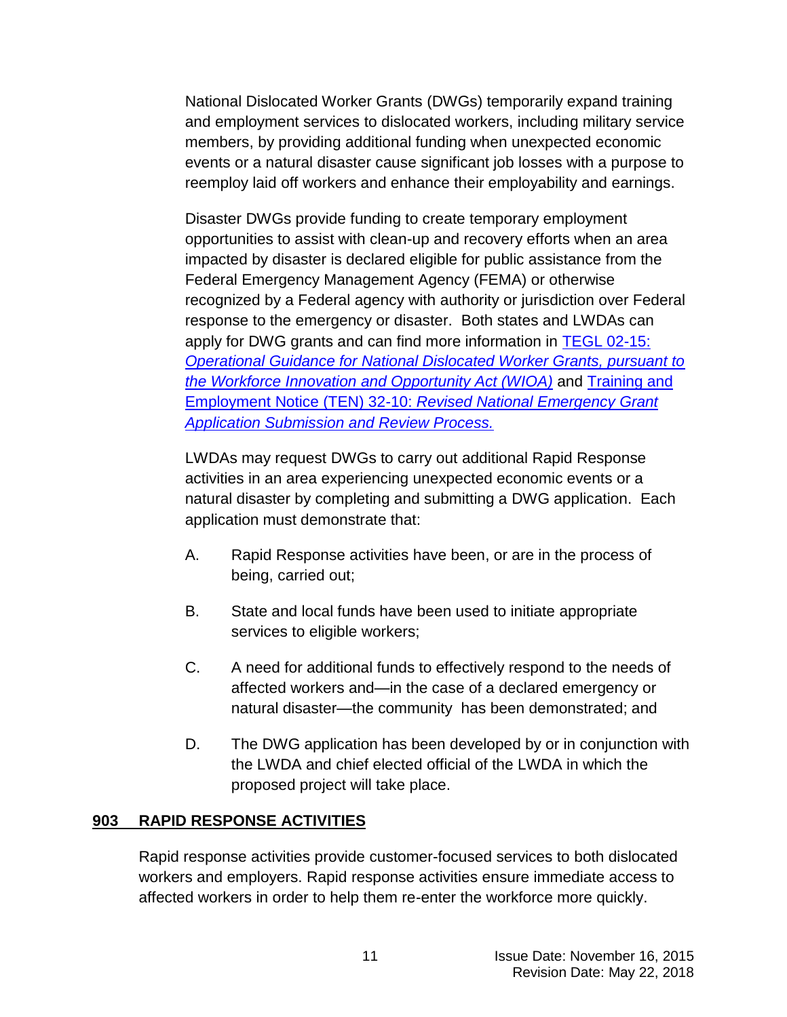National Dislocated Worker Grants (DWGs) temporarily expand training and employment services to dislocated workers, including military service members, by providing additional funding when unexpected economic events or a natural disaster cause significant job losses with a purpose to reemploy laid off workers and enhance their employability and earnings.

Disaster DWGs provide funding to create temporary employment opportunities to assist with clean-up and recovery efforts when an area impacted by disaster is declared eligible for public assistance from the Federal Emergency Management Agency (FEMA) or otherwise recognized by a Federal agency with authority or jurisdiction over Federal response to the emergency or disaster. Both states and LWDAs can apply for DWG grants and can find more information in [TEGL 02-15:](http://wdr.doleta.gov/directives/attach/TEGL/TEGL_02-15.pdf)  *[Operational Guidance for National Dislocated Worker Grants, pursuant to](http://wdr.doleta.gov/directives/attach/TEGL/TEGL_02-15.pdf)  [the Workforce Innovation and Opportunity Act \(WIOA\)](http://wdr.doleta.gov/directives/attach/TEGL/TEGL_02-15.pdf)* and [Training and](http://wdr.doleta.gov/directives/attach/TEN/ten2010/TEN32-10.pdf)  Employment Notice (TEN) 32-10: *[Revised National Emergency Grant](http://wdr.doleta.gov/directives/attach/TEN/ten2010/TEN32-10.pdf)  [Application Submission and Review Process.](http://wdr.doleta.gov/directives/attach/TEN/ten2010/TEN32-10.pdf)*

LWDAs may request DWGs to carry out additional Rapid Response activities in an area experiencing unexpected economic events or a natural disaster by completing and submitting a DWG application. Each application must demonstrate that:

- A. Rapid Response activities have been, or are in the process of being, carried out;
- B. State and local funds have been used to initiate appropriate services to eligible workers;
- C. A need for additional funds to effectively respond to the needs of affected workers and—in the case of a declared emergency or natural disaster—the community has been demonstrated; and
- D. The DWG application has been developed by or in conjunction with the LWDA and chief elected official of the LWDA in which the proposed project will take place.

## **903 RAPID RESPONSE ACTIVITIES**

Rapid response activities provide customer-focused services to both dislocated workers and employers. Rapid response activities ensure immediate access to affected workers in order to help them re-enter the workforce more quickly.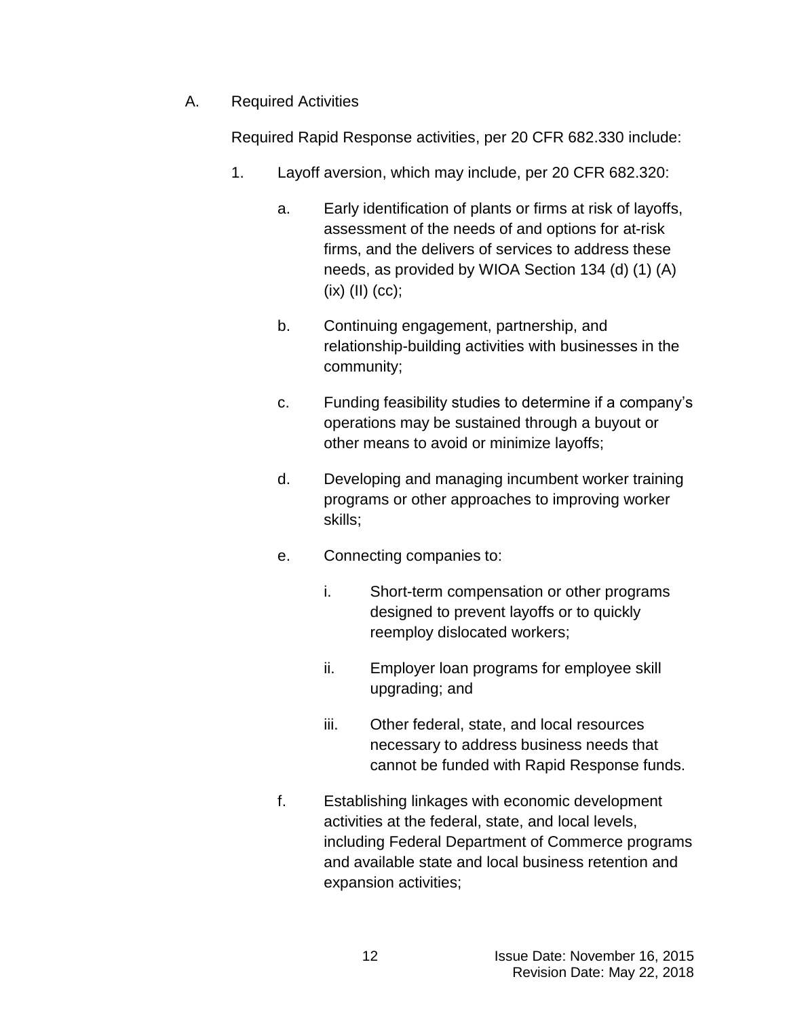A. Required Activities

Required Rapid Response activities, per 20 CFR 682.330 include:

- 1. Layoff aversion, which may include, per 20 CFR 682.320:
	- a. Early identification of plants or firms at risk of layoffs, assessment of the needs of and options for at-risk firms, and the delivers of services to address these needs, as provided by WIOA Section 134 (d) (1) (A)  $(ix)$   $(II)$   $(cc)$ ;
	- b. Continuing engagement, partnership, and relationship-building activities with businesses in the community;
	- c. Funding feasibility studies to determine if a company's operations may be sustained through a buyout or other means to avoid or minimize layoffs;
	- d. Developing and managing incumbent worker training programs or other approaches to improving worker skills;
	- e. Connecting companies to:
		- i. Short-term compensation or other programs designed to prevent layoffs or to quickly reemploy dislocated workers;
		- ii. Employer loan programs for employee skill upgrading; and
		- iii. Other federal, state, and local resources necessary to address business needs that cannot be funded with Rapid Response funds.
	- f. Establishing linkages with economic development activities at the federal, state, and local levels, including Federal Department of Commerce programs and available state and local business retention and expansion activities;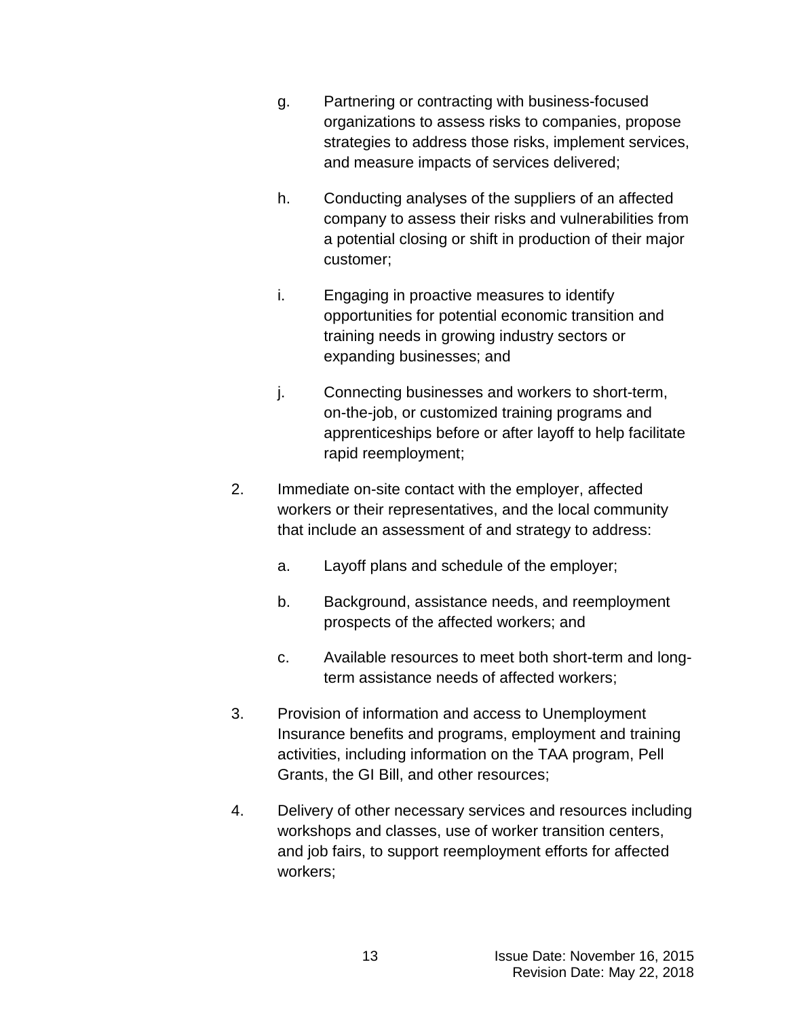- g. Partnering or contracting with business-focused organizations to assess risks to companies, propose strategies to address those risks, implement services, and measure impacts of services delivered;
- h. Conducting analyses of the suppliers of an affected company to assess their risks and vulnerabilities from a potential closing or shift in production of their major customer;
- i. Engaging in proactive measures to identify opportunities for potential economic transition and training needs in growing industry sectors or expanding businesses; and
- j. Connecting businesses and workers to short-term, on-the-job, or customized training programs and apprenticeships before or after layoff to help facilitate rapid reemployment;
- 2. Immediate on-site contact with the employer, affected workers or their representatives, and the local community that include an assessment of and strategy to address:
	- a. Layoff plans and schedule of the employer;
	- b. Background, assistance needs, and reemployment prospects of the affected workers; and
	- c. Available resources to meet both short-term and longterm assistance needs of affected workers;
- 3. Provision of information and access to Unemployment Insurance benefits and programs, employment and training activities, including information on the TAA program, Pell Grants, the GI Bill, and other resources;
- 4. Delivery of other necessary services and resources including workshops and classes, use of worker transition centers, and job fairs, to support reemployment efforts for affected workers;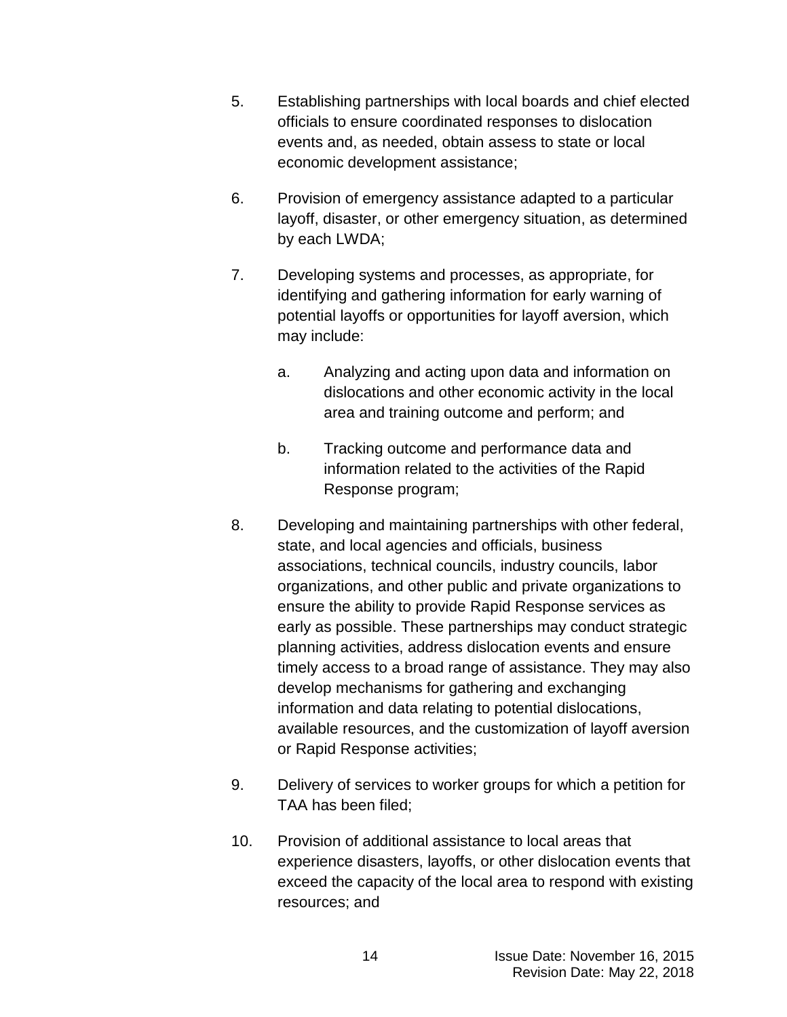- 5. Establishing partnerships with local boards and chief elected officials to ensure coordinated responses to dislocation events and, as needed, obtain assess to state or local economic development assistance;
- 6. Provision of emergency assistance adapted to a particular layoff, disaster, or other emergency situation, as determined by each LWDA;
- 7. Developing systems and processes, as appropriate, for identifying and gathering information for early warning of potential layoffs or opportunities for layoff aversion, which may include:
	- a. Analyzing and acting upon data and information on dislocations and other economic activity in the local area and training outcome and perform; and
	- b. Tracking outcome and performance data and information related to the activities of the Rapid Response program;
- 8. Developing and maintaining partnerships with other federal, state, and local agencies and officials, business associations, technical councils, industry councils, labor organizations, and other public and private organizations to ensure the ability to provide Rapid Response services as early as possible. These partnerships may conduct strategic planning activities, address dislocation events and ensure timely access to a broad range of assistance. They may also develop mechanisms for gathering and exchanging information and data relating to potential dislocations, available resources, and the customization of layoff aversion or Rapid Response activities;
- 9. Delivery of services to worker groups for which a petition for TAA has been filed;
- 10. Provision of additional assistance to local areas that experience disasters, layoffs, or other dislocation events that exceed the capacity of the local area to respond with existing resources; and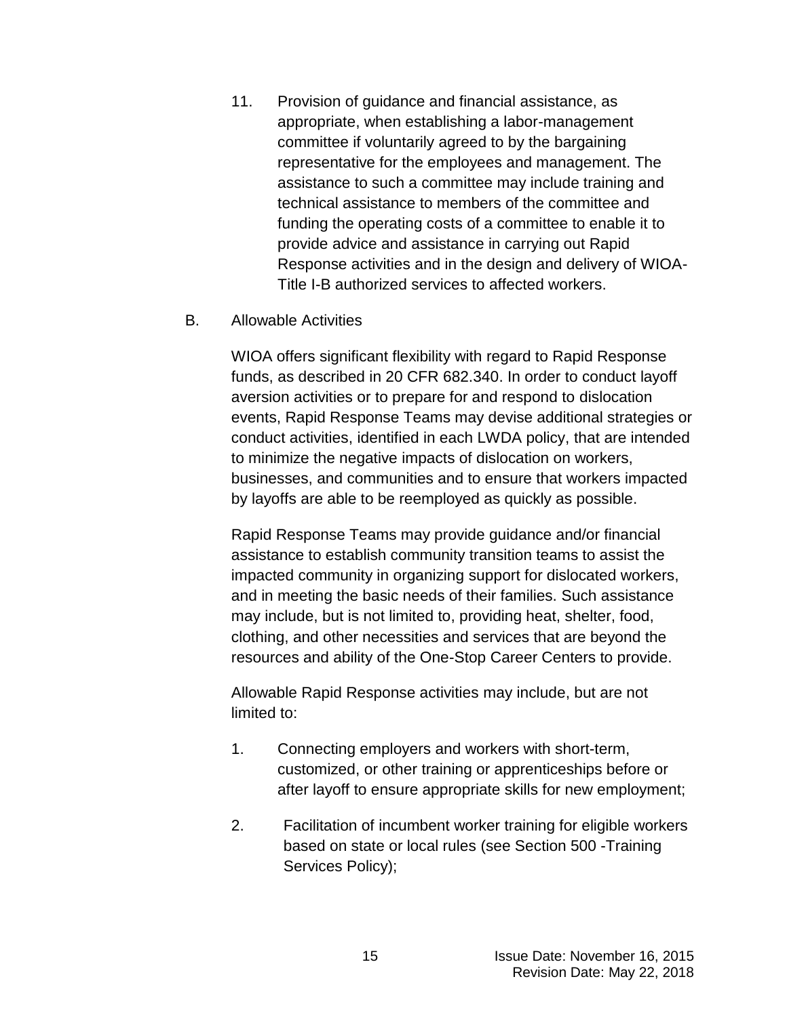11. Provision of guidance and financial assistance, as appropriate, when establishing a labor-management committee if voluntarily agreed to by the bargaining representative for the employees and management. The assistance to such a committee may include training and technical assistance to members of the committee and funding the operating costs of a committee to enable it to provide advice and assistance in carrying out Rapid Response activities and in the design and delivery of WIOA-Title I-B authorized services to affected workers.

### B. Allowable Activities

WIOA offers significant flexibility with regard to Rapid Response funds, as described in 20 CFR 682.340. In order to conduct layoff aversion activities or to prepare for and respond to dislocation events, Rapid Response Teams may devise additional strategies or conduct activities, identified in each LWDA policy, that are intended to minimize the negative impacts of dislocation on workers, businesses, and communities and to ensure that workers impacted by layoffs are able to be reemployed as quickly as possible.

Rapid Response Teams may provide guidance and/or financial assistance to establish community transition teams to assist the impacted community in organizing support for dislocated workers, and in meeting the basic needs of their families. Such assistance may include, but is not limited to, providing heat, shelter, food, clothing, and other necessities and services that are beyond the resources and ability of the One-Stop Career Centers to provide.

Allowable Rapid Response activities may include, but are not limited to:

- 1. Connecting employers and workers with short-term, customized, or other training or apprenticeships before or after layoff to ensure appropriate skills for new employment;
- 2. Facilitation of incumbent worker training for eligible workers based on state or local rules (see Section 500 -Training Services Policy);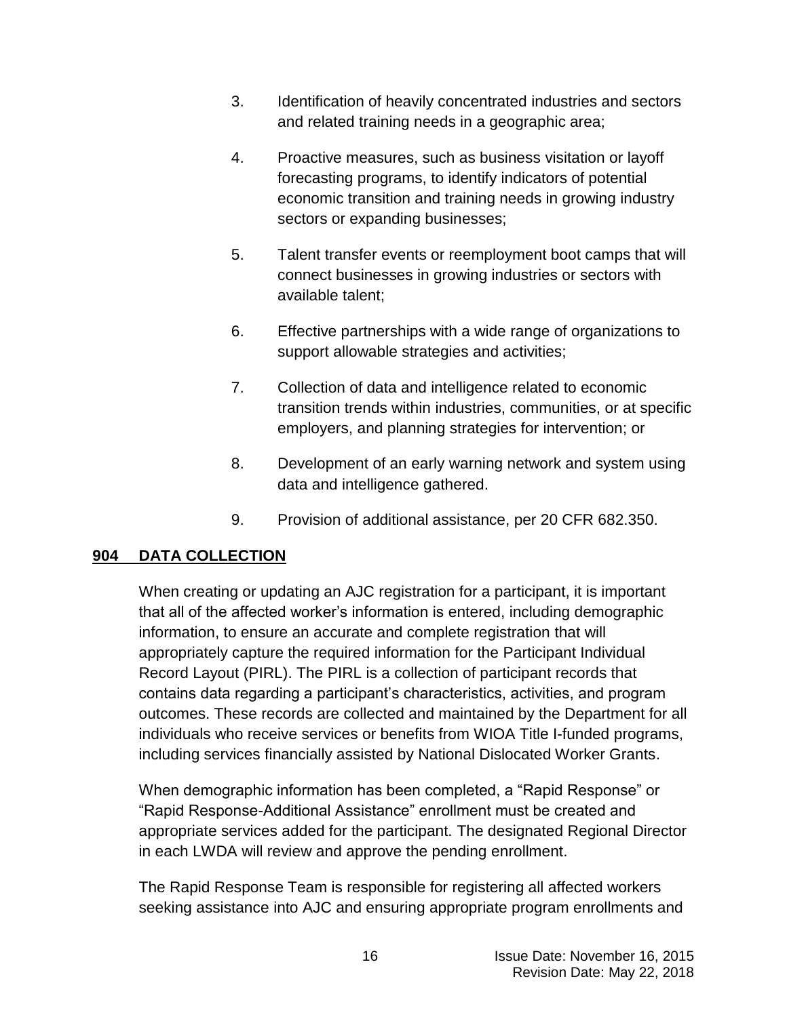- 3. Identification of heavily concentrated industries and sectors and related training needs in a geographic area;
- 4. Proactive measures, such as business visitation or layoff forecasting programs, to identify indicators of potential economic transition and training needs in growing industry sectors or expanding businesses;
- 5. Talent transfer events or reemployment boot camps that will connect businesses in growing industries or sectors with available talent;
- 6. Effective partnerships with a wide range of organizations to support allowable strategies and activities;
- 7. Collection of data and intelligence related to economic transition trends within industries, communities, or at specific employers, and planning strategies for intervention; or
- 8. Development of an early warning network and system using data and intelligence gathered.
- 9. Provision of additional assistance, per 20 CFR 682.350.

# **904 DATA COLLECTION**

When creating or updating an AJC registration for a participant, it is important that all of the affected worker's information is entered, including demographic information, to ensure an accurate and complete registration that will appropriately capture the required information for the Participant Individual Record Layout (PIRL). The PIRL is a collection of participant records that contains data regarding a participant's characteristics, activities, and program outcomes. These records are collected and maintained by the Department for all individuals who receive services or benefits from WIOA Title I-funded programs, including services financially assisted by National Dislocated Worker Grants.

When demographic information has been completed, a "Rapid Response" or "Rapid Response-Additional Assistance" enrollment must be created and appropriate services added for the participant. The designated Regional Director in each LWDA will review and approve the pending enrollment.

The Rapid Response Team is responsible for registering all affected workers seeking assistance into AJC and ensuring appropriate program enrollments and